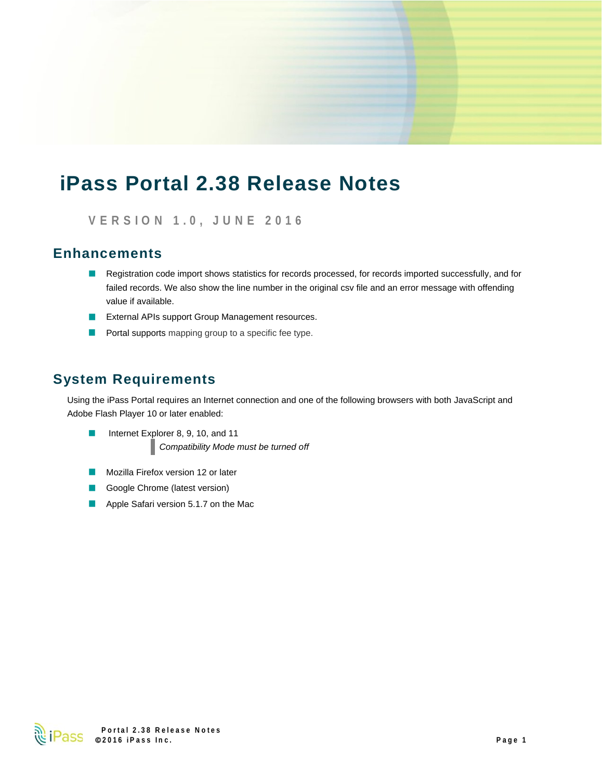# **iPass Portal 2.38 Release Notes**

**VERSION 1.0, JUNE 2016** 

### **Enhancements**

- Registration code import shows statistics for records processed, for records imported successfully, and for failed records. We also show the line number in the original csv file and an error message with offending value if available.
- **EXTER ARIS EXTERNAL EXTERNAL ARIST ARIST CONTROLLY ARE:** External APIs support Group Management resources.
- $\blacksquare$  Portal supports mapping group to a specific fee type.

### **System Requirements**

Using the iPass Portal requires an Internet connection and one of the following browsers with both JavaScript and Adobe Flash Player 10 or later enabled:

- Internet Explorer 8, 9, 10, and 11  $\Box$ *Compatibility Mode must be turned off*
- Mozilla Firefox version 12 or later ×.
- Google Chrome (latest version) ×.
- Apple Safari version 5.1.7 on the Mac

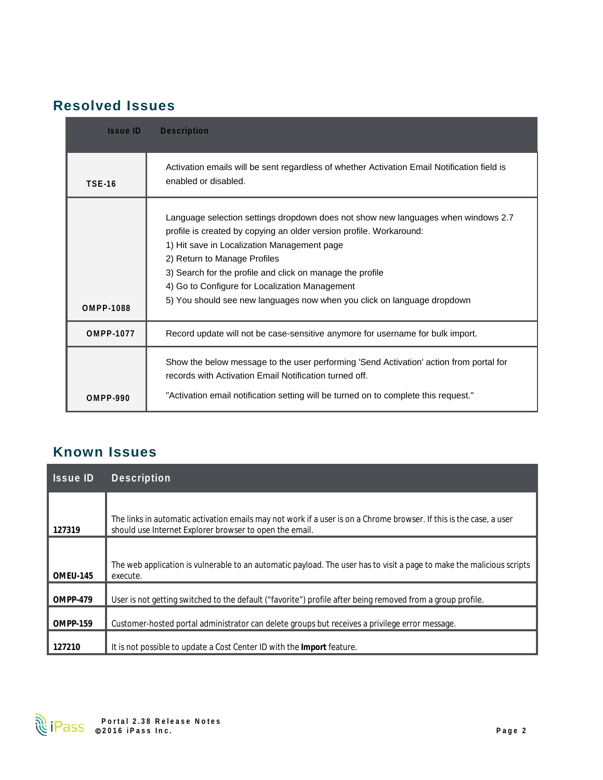### **Resolved Issues**

| <b>Issue ID</b>  | <b>Description</b>                                                                                                                                                                                                                                                                                                                                                                                                                |
|------------------|-----------------------------------------------------------------------------------------------------------------------------------------------------------------------------------------------------------------------------------------------------------------------------------------------------------------------------------------------------------------------------------------------------------------------------------|
| <b>TSE-16</b>    | Activation emails will be sent regardless of whether Activation Email Notification field is<br>enabled or disabled.                                                                                                                                                                                                                                                                                                               |
| <b>OMPP-1088</b> | Language selection settings dropdown does not show new languages when windows 2.7<br>profile is created by copying an older version profile. Workaround:<br>1) Hit save in Localization Management page<br>2) Return to Manage Profiles<br>3) Search for the profile and click on manage the profile<br>4) Go to Configure for Localization Management<br>5) You should see new languages now when you click on language dropdown |
| <b>OMPP-1077</b> | Record update will not be case-sensitive anymore for username for bulk import.                                                                                                                                                                                                                                                                                                                                                    |
| <b>OMPP-990</b>  | Show the below message to the user performing 'Send Activation' action from portal for<br>records with Activation Email Notification turned off.<br>"Activation email notification setting will be turned on to complete this request."                                                                                                                                                                                           |

## **Known Issues**

| <b>Issue ID</b> | <b>Description</b>                                                                                                                                                             |
|-----------------|--------------------------------------------------------------------------------------------------------------------------------------------------------------------------------|
| 127319          | The links in automatic activation emails may not work if a user is on a Chrome browser. If this is the case, a user<br>should use Internet Explorer browser to open the email. |
| OMEU-145        | The web application is vulnerable to an automatic payload. The user has to visit a page to make the malicious scripts<br>execute.                                              |
| OMPP-479        | User is not getting switched to the default ("favorite") profile after being removed from a group profile.                                                                     |
| <b>OMPP-159</b> | Customer-hosted portal administrator can delete groups but receives a privilege error message.                                                                                 |
| 127210          | It is not possible to update a Cost Center ID with the Import feature.                                                                                                         |

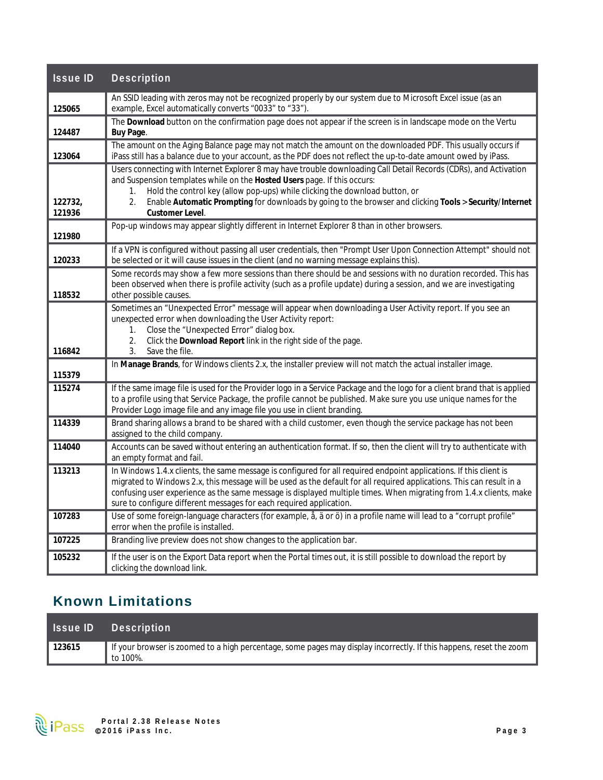| <b>Issue ID</b>   | <b>Description</b>                                                                                                                                                                                                                                                                                                                                                                                                                       |
|-------------------|------------------------------------------------------------------------------------------------------------------------------------------------------------------------------------------------------------------------------------------------------------------------------------------------------------------------------------------------------------------------------------------------------------------------------------------|
| 125065            | An SSID leading with zeros may not be recognized properly by our system due to Microsoft Excel issue (as an<br>example, Excel automatically converts "0033" to "33").                                                                                                                                                                                                                                                                    |
| 124487            | The Download button on the confirmation page does not appear if the screen is in landscape mode on the Vertu<br>Buy Page.                                                                                                                                                                                                                                                                                                                |
| 123064            | The amount on the Aging Balance page may not match the amount on the downloaded PDF. This usually occurs if<br>iPass still has a balance due to your account, as the PDF does not reflect the up-to-date amount owed by iPass.                                                                                                                                                                                                           |
| 122732.<br>121936 | Users connecting with Internet Explorer 8 may have trouble downloading Call Detail Records (CDRs), and Activation<br>and Suspension templates while on the Hosted Users page. If this occurs:<br>Hold the control key (allow pop-ups) while clicking the download button, or<br>1.<br>Enable Automatic Prompting for downloads by going to the browser and clicking Tools > Security/Internet<br>2.<br>Customer Level.                   |
| 121980            | Pop-up windows may appear slightly different in Internet Explorer 8 than in other browsers.                                                                                                                                                                                                                                                                                                                                              |
| 120233            | If a VPN is configured without passing all user credentials, then "Prompt User Upon Connection Attempt" should not<br>be selected or it will cause issues in the client (and no warning message explains this).                                                                                                                                                                                                                          |
| 118532            | Some records may show a few more sessions than there should be and sessions with no duration recorded. This has<br>been observed when there is profile activity (such as a profile update) during a session, and we are investigating<br>other possible causes.                                                                                                                                                                          |
| 116842            | Sometimes an "Unexpected Error" message will appear when downloading a User Activity report. If you see an<br>unexpected error when downloading the User Activity report:<br>Close the "Unexpected Error" dialog box.<br>1.<br>Click the Download Report link in the right side of the page.<br>2.<br>3.<br>Save the file.                                                                                                               |
| 115379            | In Manage Brands, for Windows clients 2.x, the installer preview will not match the actual installer image.                                                                                                                                                                                                                                                                                                                              |
| 115274            | If the same image file is used for the Provider logo in a Service Package and the logo for a client brand that is applied<br>to a profile using that Service Package, the profile cannot be published. Make sure you use unique names for the<br>Provider Logo image file and any image file you use in client branding.                                                                                                                 |
| 114339            | Brand sharing allows a brand to be shared with a child customer, even though the service package has not been<br>assigned to the child company.                                                                                                                                                                                                                                                                                          |
| 114040            | Accounts can be saved without entering an authentication format. If so, then the client will try to authenticate with<br>an empty format and fail.                                                                                                                                                                                                                                                                                       |
| 113213            | In Windows 1.4.x clients, the same message is configured for all required endpoint applications. If this client is<br>migrated to Windows 2.x, this message will be used as the default for all required applications. This can result in a<br>confusing user experience as the same message is displayed multiple times. When migrating from 1.4.x clients, make<br>sure to configure different messages for each required application. |
| 107283            | Use of some foreign-language characters (for example, å, ä or ö) in a profile name will lead to a "corrupt profile"<br>error when the profile is installed.                                                                                                                                                                                                                                                                              |
| 107225            | Branding live preview does not show changes to the application bar.                                                                                                                                                                                                                                                                                                                                                                      |
| 105232            | If the user is on the Export Data report when the Portal times out, it is still possible to download the report by<br>clicking the download link.                                                                                                                                                                                                                                                                                        |

# **Known Limitations**

|        | <b>Issue ID</b> Description                                                                                                     |
|--------|---------------------------------------------------------------------------------------------------------------------------------|
| 123615 | If your browser is zoomed to a high percentage, some pages may display incorrectly. If this happens, reset the zoom<br>to 100%. |

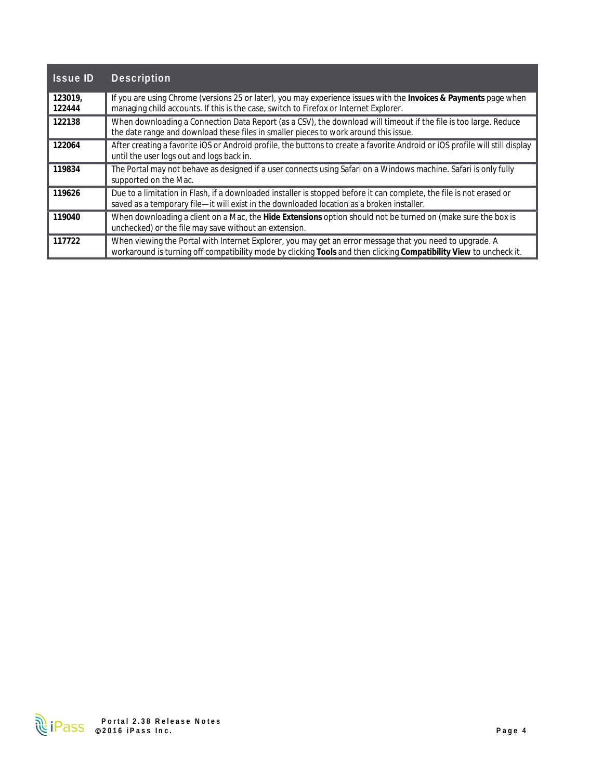| <b>Issue ID</b>   | <b>Description</b>                                                                                                                                                                                                             |
|-------------------|--------------------------------------------------------------------------------------------------------------------------------------------------------------------------------------------------------------------------------|
| 123019,<br>122444 | If you are using Chrome (versions 25 or later), you may experience issues with the Invoices & Payments page when<br>managing child accounts. If this is the case, switch to Firefox or Internet Explorer.                      |
| 122138            | When downloading a Connection Data Report (as a CSV), the download will timeout if the file is too large. Reduce<br>the date range and download these files in smaller pieces to work around this issue.                       |
| 122064            | After creating a favorite iOS or Android profile, the buttons to create a favorite Android or iOS profile will still display<br>until the user logs out and logs back in.                                                      |
| 119834            | The Portal may not behave as designed if a user connects using Safari on a Windows machine. Safari is only fully<br>supported on the Mac.                                                                                      |
| 119626            | Due to a limitation in Flash, if a downloaded installer is stopped before it can complete, the file is not erased or<br>saved as a temporary file-it will exist in the downloaded location as a broken installer.              |
| 119040            | When downloading a client on a Mac, the Hide Extensions option should not be turned on (make sure the box is<br>unchecked) or the file may save without an extension.                                                          |
| 117722            | When viewing the Portal with Internet Explorer, you may get an error message that you need to upgrade. A<br>workaround is turning off compatibility mode by clicking Tools and then clicking Compatibility View to uncheck it. |